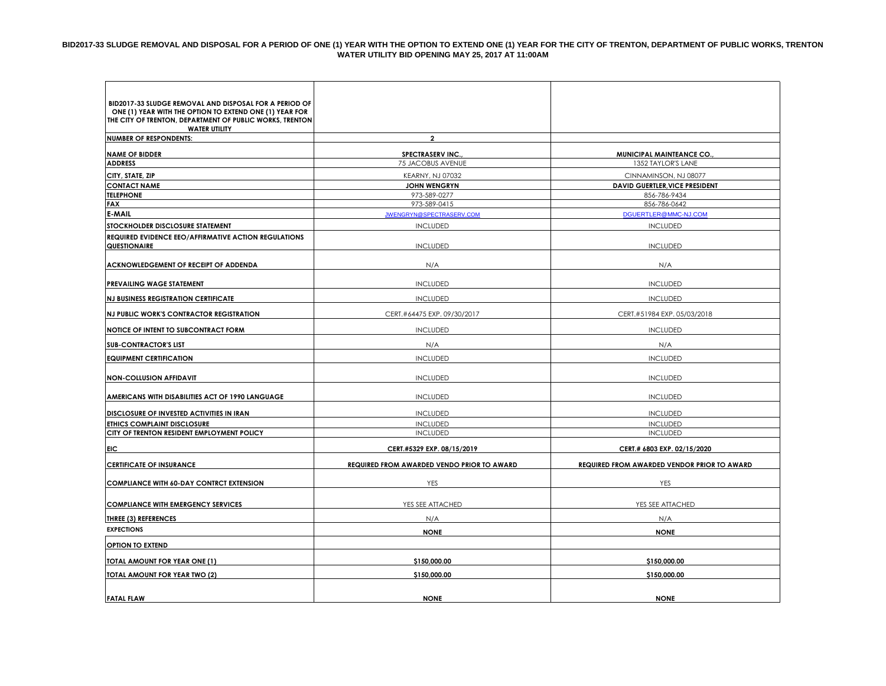#### **BID2017-33 SLUDGE REMOVAL AND DISPOSAL FOR A PERIOD OF ONE (1) YEAR WITH THE OPTION TO EXTEND ONE (1) YEAR FOR THE CITY OF TRENTON, DEPARTMENT OF PUBLIC WORKS, TRENTON WATER UTILITY BID OPENING MAY 25, 2017 AT 11:00AM**

| BID2017-33 SLUDGE REMOVAL AND DISPOSAL FOR A PERIOD OF   |                                                   |                                                    |
|----------------------------------------------------------|---------------------------------------------------|----------------------------------------------------|
| ONE (1) YEAR WITH THE OPTION TO EXTEND ONE (1) YEAR FOR  |                                                   |                                                    |
| THE CITY OF TRENTON, DEPARTMENT OF PUBLIC WORKS, TRENTON |                                                   |                                                    |
| <b>WATER UTILITY</b><br><b>NUMBER OF RESPONDENTS:</b>    | $\overline{2}$                                    |                                                    |
|                                                          |                                                   |                                                    |
| <b>NAME OF BIDDER</b>                                    | <b>SPECTRASERV INC.</b>                           | MUNICIPAL MAINTEANCE CO.,                          |
| <b>ADDRESS</b>                                           | 75 JACOBUS AVENUE                                 | 1352 TAYLOR'S LANE                                 |
| CITY, STATE, ZIP                                         | <b>KEARNY, NJ 07032</b>                           | CINNAMINSON, NJ 08077                              |
| <b>CONTACT NAME</b>                                      | <b>JOHN WENGRYN</b>                               | <b>DAVID GUERTLER, VICE PRESIDENT</b>              |
| <b>TELEPHONE</b><br><b>FAX</b>                           | 973-589-0277<br>973-589-0415                      | 856-786-9434<br>856-786-0642                       |
| E-MAIL                                                   | <b>JWENGRYN@SPECTRASERV.COM</b>                   | DGUERTLER@MMC-NJ.COM                               |
| STOCKHOLDER DISCLOSURE STATEMENT                         | <b>INCLUDED</b>                                   | <b>INCLUDED</b>                                    |
| REQUIRED EVIDENCE EEO/AFFIRMATIVE ACTION REGULATIONS     |                                                   |                                                    |
| QUESTIONAIRE                                             | <b>INCLUDED</b>                                   | <b>INCLUDED</b>                                    |
|                                                          |                                                   |                                                    |
| ACKNOWLEDGEMENT OF RECEIPT OF ADDENDA                    | N/A                                               | N/A                                                |
|                                                          |                                                   |                                                    |
| PREVAILING WAGE STATEMENT                                | <b>INCLUDED</b>                                   | <b>INCLUDED</b>                                    |
| <b>NJ BUSINESS REGISTRATION CERTIFICATE</b>              | <b>INCLUDED</b>                                   | <b>INCLUDED</b>                                    |
| NJ PUBLIC WORK'S CONTRACTOR REGISTRATION                 | CERT.#64475 EXP. 09/30/2017                       | CERT.#51984 EXP. 05/03/2018                        |
| NOTICE OF INTENT TO SUBCONTRACT FORM                     | <b>INCLUDED</b>                                   | <b>INCLUDED</b>                                    |
| <b>SUB-CONTRACTOR'S LIST</b>                             | N/A                                               | N/A                                                |
| <b>EQUIPMENT CERTIFICATION</b>                           | <b>INCLUDED</b>                                   | <b>INCLUDED</b>                                    |
|                                                          |                                                   |                                                    |
| <b>NON-COLLUSION AFFIDAVIT</b>                           | <b>INCLUDED</b>                                   | <b>INCLUDED</b>                                    |
|                                                          |                                                   |                                                    |
| AMERICANS WITH DISABILITIES ACT OF 1990 LANGUAGE         | <b>INCLUDED</b>                                   | <b>INCLUDED</b>                                    |
| DISCLOSURE OF INVESTED ACTIVITIES IN IRAN                | <b>INCLUDED</b>                                   | <b>INCLUDED</b>                                    |
| <b>ETHICS COMPLAINT DISCLOSURE</b>                       | <b>INCLUDED</b>                                   | <b>INCLUDED</b>                                    |
| CITY OF TRENTON RESIDENT EMPLOYMENT POLICY               | <b>INCLUDED</b>                                   | <b>INCLUDED</b>                                    |
| <b>EIC</b>                                               | CERT.#5329 EXP. 08/15/2019                        | CERT.# 6803 EXP. 02/15/2020                        |
| <b>CERTIFICATE OF INSURANCE</b>                          | <b>REQUIRED FROM AWARDED VENDO PRIOR TO AWARD</b> | <b>REQUIRED FROM AWARDED VENDOR PRIOR TO AWARD</b> |
|                                                          |                                                   |                                                    |
| <b>COMPLIANCE WITH 60-DAY CONTRCT EXTENSION</b>          | YES                                               | YES                                                |
| <b>COMPLIANCE WITH EMERGENCY SERVICES</b>                | YES SEE ATTACHED                                  | YES SEE ATTACHED                                   |
|                                                          |                                                   |                                                    |
| <b>THREE (3) REFERENCES</b><br><b>EXPECTIONS</b>         | N/A                                               | N/A                                                |
|                                                          | <b>NONE</b>                                       | <b>NONE</b>                                        |
| OPTION TO EXTEND                                         |                                                   |                                                    |
| TOTAL AMOUNT FOR YEAR ONE (1)                            | \$150,000.00                                      | \$150,000.00                                       |
| <b>TOTAL AMOUNT FOR YEAR TWO (2)</b>                     | \$150,000.00                                      | \$150,000.00                                       |
|                                                          |                                                   |                                                    |
| <b>FATAL FLAW</b>                                        | <b>NONE</b>                                       | <b>NONE</b>                                        |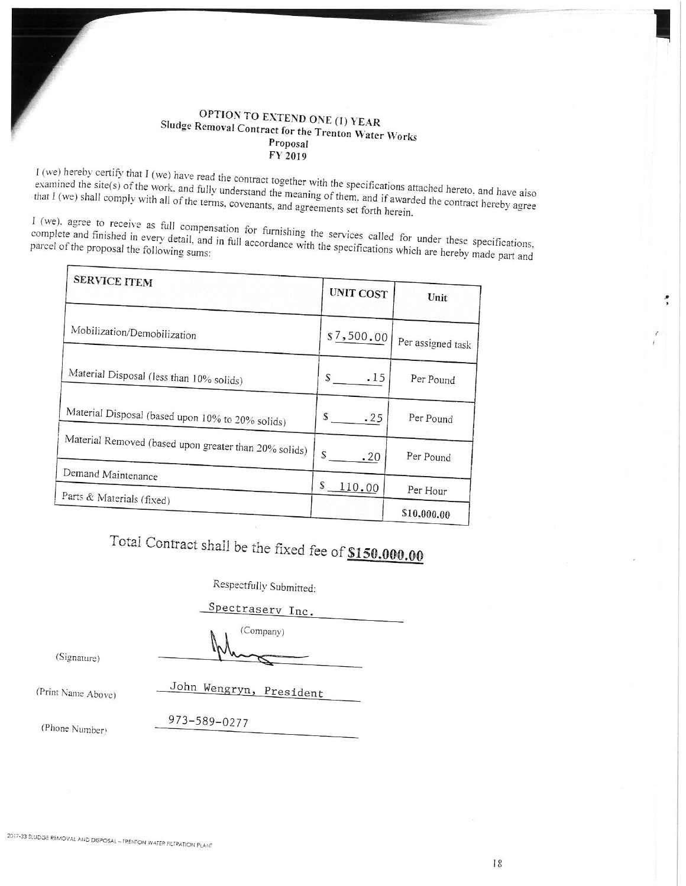### OPTION TO EXTEND ONE (1) YEAR Sludge Removal Contract for the Trenton Water Works Proposal FY 2019

I (we) hereby certify that I (we) have read the contract together with the specifications attached hereto, and have also examined the site(s) of the work, and fully understand the meaning of them, and if awarded the contract hereby agree that I (we) shall comply with all of the terms, covenants, and agreements set forth herein.

I (we), agree to receive as full compensation for furnishing the services called for under these specifications, complete and finished in every detail, and in full accordance with the specifications which are hereby made part and

| <b>SERVICE ITEM</b>                                   | <b>UNIT COST</b> | Unit              |
|-------------------------------------------------------|------------------|-------------------|
| Mobilization/Demobilization                           | \$7,500.00       | Per assigned task |
| Material Disposal (less than 10% solids)              | .15<br>S         | Per Pound         |
| Material Disposal (based upon 10% to 20% solids)      | S.<br>.25        | Per Pound         |
| Material Removed (based upon greater than 20% solids) | S.<br>.20        | Per Pound         |
| Demand Maintenance<br>Parts & Materials (fixed)       | S<br>110.00      | Per Hour          |
|                                                       |                  | \$10,000.00       |

# Total Contract shall be the fixed fee of \$150,000.00

Respectfully Submitted:

Spectraserv Inc.

(Company)

(Signature)

(Print Name Above)

John Wengryn, President

(Phone Number)

973-589-0277

:,